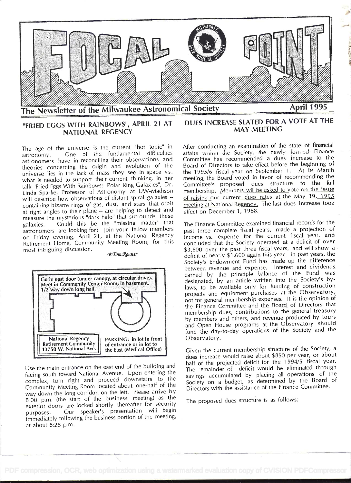

### "FRIED EGGS WITH RAINBOWS", APRIL 21 AT **NATIONAL REGENCY**

The age of the universe is the current "hot topic" in One of the fundamental difficulties astronomy. astronomers have in reconciling their observations and theories concerning the origin and evolution of the universe lies in the lack of mass they see in space vs. what is needed to support their current thinking. In her talk "Fried Eggs With Rainbows: Polar Ring Galaxies", Dr. Linda Sparke, Professor of Astronomy at UW-Madison will describe how observations of distant spiral galaxies containing bizarre rings of gas, dust, and stars that orbit at right angles to their plane -- are helping to detect and measure the mysterious "dark halo" that surrounds these Could this be the "missing matter" that galaxies. astronomers are looking for? Join your fellow members on Friday evening, April 21, at the National Regency Retirement Home, Community Meeting Room, for this most intriguing discussion.



 $\star$ Tom Renner

Use the main entrance on the east end of the building and facing south toward National Avenue. Upon entering the complex, turn right and proceed downstairs to the Community Meeting Room located about one-half of the way down the long corridor, on the left. Please arrive by 8:00 p.m. (the start of the business meeting) as the exterior doors are locked shortly thereafter for security Our speaker's presentation will begin purposes. immediately following the business portion of the meeting, at about 8:25 p.m.

## DUES INCREASE SLATED FOR A VOTE AT THE **MAY MEETING**

After conducting an examination of the state of financial affairs within the Society, the newly formed Finance Committee has recommended a dues increase to the Board of Directors to take effect before the beginning of the 1995/6 fiscal year on September 1. At its March meeting, the Board voted in favor of recommending the Committee's proposed dues structure to the full membership. Members will be asked to vote on the issue of raising our current dues rates at the May 19, 1995 meeting at National Regency. The last dues increase took effect on December 1, 1988.

The Finance Committee examined financial records for the past three complete fiscal years, made a projection of income vs. expense for the current fiscal year, and concluded that the Society operated at a deficit of over \$3,600 over the past three fiscal years, and will show a deficit of nearly \$1,600 again this year. In past years, the Society's Endowment Fund has made up the difference between revenue and expense. Interest and dividends earned by the principle balance of the Fund was designated, by an article written into the Society's bylaws, to be available only for funding of construction projects and equipment purchases at the Observatory, not for general membership expenses. It is the opinion of the Finance Committee and the Board of Directors that membership dues, contributions to the general treasury by members and others, and revenue produced by tours and Open House programs at the Observatory should fund the day-to-day operations of the Society and the Observatory.

Given the current membership structure of the Society, a dues increase would raise about \$850 per year, or about half of the projected deficit for the 1994/5 fiscal year. The remainder of deficit would be eliminated through savings accumulated by placing all operations of the Society on a budget, as determined by the Board of Directors with the assistance of the Finance Committee.

The proposed dues structure is as follows: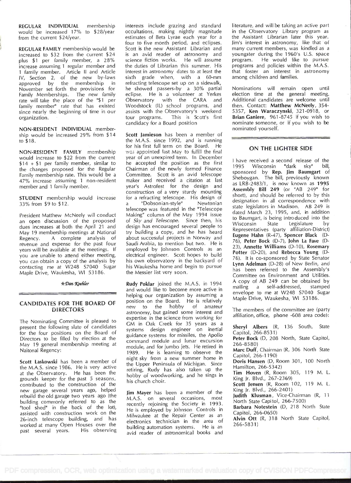REGULAR INDIVIDUAL membership would be increased 17% to \$28/year from the current \$24/year.

REGULAR FAMILY membership would be increased to \$32 from the current \$24 plus \$1 per family member, a 28% increase assuming 1 regular member and 1 family member. Article II and Article IV, Section 2, of the new by-laws approved by the membership in November set forth the provisions for Family Memberships. The new family e rate will take the place of the "\$1 per family member" rate that has existed since nearly the beginning of time in our assists with the organization. organization.

NON-RESIDENT INDIVIDUAL membership would be increased 29% from \$14 to \$18.

NON-RESDENT FAMILY membership would increase to \$22 from the current \$14 + \$1 per family member, similar to the changes proposed for the Regular Family membership rate. This would be a 47% increase assuming 1 non-resident member and 1 family member.

STUDENT membership would increase 33% from \$9 to \$12.

President Matthew McNeely will conduct an open discussion of the proposed dues increases at both the April 21 and May 19 membership meetings at National<br>Regency. A complete analysis of A complete analysis of revenue and expense for the past four years will be available at the meetings. If you are unable to attend either meeting, you can obtain a copy of the analysis by contacting me at W248 S7040 Sugar Maple Drive, Waukesha, WI 53186.

#### $\star$  Dan Koehler

### CANDIDATES FOR THE BOARD OF **DIRECTORS**

The Nominating Committee is pleased to present the following slate of candidates for the four positions on the Board of Directors to be filled by election at the May 19 general membership meeting at Naitonal Regency:

Scott Laskowski has been a member of the M.A.S. since 1986. He is very active at the Observatory. He has been the grounds keeper for the past 5 seasons, contributed to the construction of the new garage several years ago, helped rebuild the old garage two years ago (the building commonly referred to as the "tool shed" in the back of the lot), assisted with construction work on the 26-inch telescope building, and has worked at many Open Houses over the<br>past several years. His observing past several years.

interests include grazing and standard occultations, making nightly magnitude estimates of Beta Lyrae each year for a four to five month period, and eclipses. Scott is the new Assistant Librarian and is an avid reader of astronomy and youngster<br>science-fiction-works. He-will-assume program. science fiction works. He will assume the duties of Librarian this summer. His interest in astronomy dates to at least the sixth grade when, with a 60-mm refracting telescope set up on a sidewalk, he showed passers-by a 30% partial eclipse. He is a volunteer at Yerkes Observatory with the CARA and Woodstock (IL) school programs, and assists with the Observatory's weekend This is Scott's first candidacy for a Board position

Scott Jamieson has been a member of the M.A.S. since 1992, and is running for his first full term on the Board. He was appointed last May to fulfill the final year of an unexpired term. In December he accepted the position as the first 1995 Chairman of the newly formed Finance Committee. Scott is an avid telescope maker and received a citation at last year's Astrofest for the design and construction of a very sturdy mounting for a refracting telescope. His design of<br>a "Dobsonian-style" Newtonian a "Dobsonian-style" telescope was featured in the "Telescope Making" column of the May 1994 issue of Sky and Telescope. Since then, his to baumgar design has encouraged several people to try building a copy, and he has heard about successful projects in Norway and Saudi Arabia, to mention but two. He is employed by Johnson Controls as an electrical engineer. Scott hopes to build his own observatory in the backyard of his Waukesha home and begin to pursue the Messier list very soon.

Rudy Poklar joined the M.A.S. in 1994 and would like to become more active in helping our organization by assuming a position on the Board. He is relatively<br>new to the hobby of amateur new to the hobby of amateur astronomy, but gained some interest and expertise in the science from working for GM in Oak Creek for 35 years as a systems design engineer on inertial guidance systems for missiles, the Apollo command module and lunar excursion module, and for jumbo jets. He retired in 1989. He is learning to observe the night sky from a new summer home in the Upper Peninsula of Michigan. Since retiring, Rudy has also taken up the hobby of woodworking, and he sings in his church choir.

Jim Mayer has been a member of the M.A.S. on several occasions, most recently rejoining the Society in 1993. He is employed by Johnson Controls in Milwaukee at the Repair Center as an electronics technician in the area of building automation systems. He is an avid reader of astronomical books and literature, and will be taking an active part in the Observatory Library program as the Assistant Librarian later this year. Jim's interest in astronomy, like that of many current members, was kindled as a youngster during the 1960's U.S. space He would like to pursue programs and policies within the M.A.S. that foster an interest in astronomy among children and families.

Nominations will remain open until election time at the general meeting. Additional candidates are welcome until then. Contact: Matthew McNeely, 354- 5357, Ken Waraczynski, 321-0918, or Brian Ganiere, 961 -8745 if you wish to nominate someone, or if you wish to be nominated yourself.

### ON THE LIGHTER SIDE

<sup>I</sup>have received a second release of the Wisconsin "dark sky" bill, sponsored by Rep. Jim Baumgart of Sheboygan. The bill, previously known as LRB-2483/1, is now known as 1995 Assembly Bill 249 (or "AB 249" for short), and should be referred to by this designation in all correspondence with state legislators in Madison. AB 249 is dated March 23, 1995, and, in addition to Baumgart, is being introduced into the State Legislature by Representatives (party affiliation-District) Eugene Hahn (R-47), Spencer Black (D-76), Peter Bock (D-7), John La Fave (D-23), Annette Williams (D-10), Rosemary Potter (D-20), and Rebecca Young (D-76). lt is co-sponsored by State Senator Lynn Adelman (D-28) of New Berlin, and has been referred to the Assembly's Committee on Environment and Utilities. A copy of AB 249 can be obtained by mailing a self-addressed, stamped envelope to me at W248 57040 Sugar Maple Drive, Waukesha, WI 53186.

The members of the committee are (party affiliation, office, phone -608 area code):

Sheryl Albers (R, 136 South, State Capitol, 266-8531)

Peter Bock (D, 208 North, State Capitol, 266-8580)

Marc Duff, Chairman (R, 306 North State Capitol, 266-1 190)

Doris Hansen (D, Room 301, 100 North Hamilton, 266-5342)

Tim Hoven (R, Room 305, 119 M. L. King Jr. Blvd., 267-2369)

Scott Jensen (R, Room 102, 119 M. L. King Jr. Blvd., 266-2401)

Judith Kiusman, Vice-Chairman (R, 11 North State Capitol, 266-7500)

Barbara Notestein (D, 218 North State Capitol, 266-0650)

Alvin Ott (R, 318 North State Capitol, 266-5831)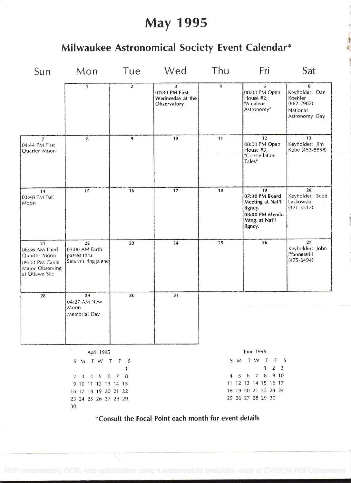# May 1995

## Milwaukee Astronomical Society Event Calendar\*

| Sun                                                                                         | Mon                                                                                                                | Tue              | Wed                                                                                 | Thu | Fri                                                                                              | Sat                                                                           |  |  |
|---------------------------------------------------------------------------------------------|--------------------------------------------------------------------------------------------------------------------|------------------|-------------------------------------------------------------------------------------|-----|--------------------------------------------------------------------------------------------------|-------------------------------------------------------------------------------|--|--|
|                                                                                             | $\mathbf{1}$                                                                                                       | $\boldsymbol{2}$ | 3<br>07:30 PM First<br>Wednesday at the<br>Observatory                              | 4   | 5<br>08:00 PM Open<br>House #2,<br>"Amateur<br>Astronomy <sup>®</sup>                            | 6<br>Keyholder: Dan<br>Koehler<br>$(662 - 2987)$<br>National<br>Astronomy Day |  |  |
| $\overline{7}$<br>04:44 PM First<br>Quarter Moon                                            | $\bf{8}$                                                                                                           | 9                | 10                                                                                  | 11  | 12<br>08:00 PM Open<br>House $#3$ ,<br>"Constellation<br>Tales"                                  | 13<br>Keyholder: Jim<br>Kube (453-8858)                                       |  |  |
| 14<br>03:48 PM Full<br>Moon                                                                 | 15                                                                                                                 | 16               | 17                                                                                  | 18  | 19<br>07:30 PM Board<br>Meeting at Nat'l<br>Rgncy.<br>08:00 PM Memb.<br>Mtng. at Nat'l<br>Rgncy. | 20<br>Keyholder: Scott<br>Laskowski<br>$(421 - 3517)$                         |  |  |
| 21<br>06:36 AM Third<br>Quarter Moon<br>09:00 PM Canis<br>Major Observing<br>at Óttawa Site | 22<br>03:00 AM Earth<br>passes thru<br>Saturn's ring plane                                                         | 23               | 24                                                                                  | 25  | 26                                                                                               | 27<br>Keyholder: John<br>Pfannerstill<br>$(475 - 6494)$                       |  |  |
| 28                                                                                          | 29<br>04:27 AM New<br>Moon<br>Memorial Day                                                                         | 30               | 31                                                                                  |     | $\sim$                                                                                           |                                                                               |  |  |
|                                                                                             | April 1995                                                                                                         |                  | June 1995                                                                           |     |                                                                                                  |                                                                               |  |  |
|                                                                                             | S M T W T                                                                                                          | F S<br>1         | S M T W T F S<br>$2 \quad 3$<br>$\mathbf{1}$                                        |     |                                                                                                  |                                                                               |  |  |
|                                                                                             | $6\phantom{.}6$<br>4 5<br>$2 \quad 3$<br>9 10 11 12 13 14 15<br>16 17 18 19 20 21 22<br>23 24 25 26 27 28 29<br>30 | 78               | 4 5 6 7 8 9 10<br>11 12 13 14 15 16 17<br>18 19 20 21 22 23 24<br>25 26 27 28 29 30 |     |                                                                                                  |                                                                               |  |  |

## \*Consult the Focal Point each month for event details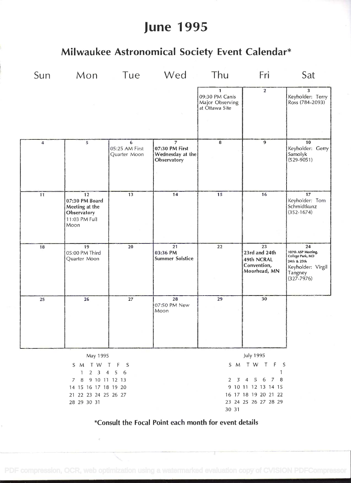# June 1995

## Milwaukee Astronomical Society Event Calendar\*

|                                                             | Sun Mon Tue Wed Thu                                                            |                                     |                                                                     |                                                                     | Fri                                                              | Sat                                                                                                           |  |  |  |
|-------------------------------------------------------------|--------------------------------------------------------------------------------|-------------------------------------|---------------------------------------------------------------------|---------------------------------------------------------------------|------------------------------------------------------------------|---------------------------------------------------------------------------------------------------------------|--|--|--|
|                                                             |                                                                                |                                     |                                                                     | $\mathbf{1}$<br>09:30 PM Canis<br>Major Observing<br>at Óttawa Site | $\overline{2}$                                                   | $\overline{\mathbf{3}}$<br>Keyholder: Terry<br>Ross (784-2093)                                                |  |  |  |
| $\overline{\mathbf{4}}$                                     | 5                                                                              | 6<br>05:25 AM First<br>Quarter Moon | $\overline{z}$<br>07:30 PM First<br>Wednesday at the<br>Observatory | 8                                                                   | $\overline{9}$                                                   | 10<br>Keyholder: Gerry<br>Samolyk<br>$(529 - 9051)$                                                           |  |  |  |
| 11                                                          | 12<br>07:30 PM Board<br>Meeting at the<br>Observatory<br>11:03 PM Full<br>Moon | 13                                  | $\overline{14}$                                                     | 15                                                                  | 16                                                               | $\overline{17}$<br>Keyholder: Tom<br>Schmidtkunz<br>$(352 - 1674)$                                            |  |  |  |
| 18                                                          | 19<br>05:00 PM Third<br>Quarter Moon                                           | 20                                  | 21<br>03:36 PM<br><b>Summer Solstice</b>                            | 22                                                                  | 23<br>23rd and 24th<br>49th NCRAL<br>Convention,<br>Moorhead, MN | 24<br>107th ASP Meeting,<br>College Park, MD<br>24th & 25th<br>Keyholder: Virgil<br>Tangney<br>$(327 - 7976)$ |  |  |  |
| 25                                                          | 26                                                                             | 27                                  | 28<br>07:50 PM New<br>Moon                                          | 29                                                                  | 30                                                               |                                                                                                               |  |  |  |
|                                                             | May 1995                                                                       |                                     | <b>July 1995</b>                                                    |                                                                     |                                                                  |                                                                                                               |  |  |  |
|                                                             | S M T W T<br>$\mathbf{1}$<br>$2 \quad 3$                                       | F<br>S<br>$5\quad 6$<br>4           |                                                                     | S M T W T F S                                                       |                                                                  |                                                                                                               |  |  |  |
|                                                             | 9 10 11 12 13<br>7 8                                                           |                                     | $3'$ 4 5<br>-6<br>7 8<br>2                                          |                                                                     |                                                                  |                                                                                                               |  |  |  |
| 14 15 16 17 18 19 20<br>21 22 23 24 25 26 27<br>28 29 30 31 |                                                                                |                                     | 9 10 11 12 13 14 15<br>16 17 18 19 20 21 22<br>23 24 25 26 27 28 29 |                                                                     |                                                                  |                                                                                                               |  |  |  |
|                                                             |                                                                                |                                     |                                                                     |                                                                     |                                                                  |                                                                                                               |  |  |  |

\*Consutt the Focal Point each month for event details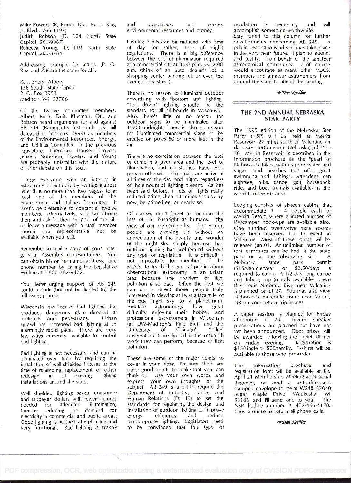Mike Powers (R, Room 307, M. L. King and Jr. Blvd., 266-1 1 92)

Judith Robson (D, 124 North State Capitol, 266-9967) Rebecca Young (D, 119 North State Capitol, 266-3784)

Addressing example for letters (P. 0. Box and ZIP are the same for all):

Rep. Sheryl Albers 136 South, State Capitol P. 0. Box 8953 Madison, WI 53708

0f the twelve committee members, Albers, Bock, Duff, Klusman, Ott, and Robson heard arguments for and against AB 344 (Baumgart's first dark sky bill defeated in February 1994) as members of the Environmental Resources, Energy, and Utilities Committee in the previous legislature. Therefore, Hansen, Hoven, Jensen, Notestein, Powers, and Young are probably unfamiliar with the nature of prior debate on this issue.

<sup>I</sup>urge everyone with an interest in astronomy to act now by writing a short letter (i. e. no more than two pages) to at east one of the members of the Environment and Utilities Committee. lt would be preferable to contact all twelve members. Alternatively, you can phone them and ask for their support of the bill, or leave a message with a staff member should the representative not be available when you call.

Remember to mail a copy of your letter to your Assembly representative. You can obtain his or her name, address, and phone number by calling the Legislative Hotline at 1-800-362-9472.

Your letter urging support of AB 249 could include (but not be limited to) the following points:

Wisconsin has lots of bad lighting that Amateur produces dangerous glare directed at<br>motorists and pedestrians. Urban motorists and pedestrians. sprawl has increased bad lighting at an alarmingly rapid pace. There are very University few ways currently available to contro! bad lighting.

Bad lighting is not necessary and can be eliminated over time by requiring the installation of well shielded fixtures at the time of relamping, replacement, or other<br>redesign in all existing lighting redesign installations around the state.

Well shielded lighting saves consumer and taxpayer dollars with fewer fixtures<br>needed for adequate illumination, needed for adequate thereby reducing the demand for installat electricity in commercial and public areas. energy electricity in commercial and public areas. Good lighting is aesthetically pleasing and very functional, Bad lighting is trashy

and obnoxious, and wastes environmental resources and money.

Lighting levels can be reduced with time of day (or rather, time of night) regulations. There is a big difference between the level of illumination required at a commercial site at 8:00 p.m. vs. 2:00 am. (think of an auto dealer's lot, a shopping center parking lot, or even the average city street).

There is no reason to illuminate outdoor advertising with "bottom up" lighting. 'Top down" lighting should be the standard for all billboards in Wisconsin. Also, there's little or no reason for outdoor signs to be illuminated after 12:00 midnight. There is also no reason for illuminated commercial signs to be erected on poles 50 or more feet in the air.

There is no correlation between the level of crime in a given area and the level of illumination, and no studies have ever proven otherwise. Criminals are active at all times of the day and night, regardless of the amount of lighting present. As has been said before, if lots of lights really reduced crime, then our cities should, by now, be crime free, or nearly so!

0f course, don't forget to mention the loss of our birthright as humans: the view of our nighttime sky. Our young people are growing up without an appreciation of the beauty and wonder of the night sky simply because bad outdoor lighting has proliferated without any type of regulation. lt is difficult, if not impossible, for members of the MAS. to teach the general public about observational astronomy in an urban area because the problem of light  $\overline{a}$ pollution is so bad. Often the best we can do is direct those people truly interested in viewing at least a facsimile of the true night sky to a planetarium!<br>Amateur astronomers have great have great difficulty enjoying their hobby, and professional astronomers in Wisconsin (at UW-Madison's Pine Bluff and the<br>University of Chicago's Yerkes Chicago's Yerkes observatories) are limited in the research work they can perform, because of light pollution.

These are some of the major points to cover in your letter. I'm sure there are other good points to make that you can think of. Use your own words and express your own thoughts on the **R** subject. AB 249 is a bill to require the Department of Industry, Labor, and Human Relations (DILHR) to set the standards for regulating the design and installation of outdoor lighting to improve<br>energy efficiency and reduce efficiency and inappropriate lighting. Legislators need to be convinced that this type of

regulation is necessary and will accomplish something worthwhile.

Stay tuned to this column for further developments concerning AB 249. A public hearing in Madison may take place in the very near future. I plan to attend, and testify, if on behalf of the amateur astronomical community. I of course would encourage as many other M.A.S. members and amateur astronomers from around the state to attend the hearing.

 $-\star$ Dan Koehler

### THE 2ND ANNUAL NEBRASKA STAR PARTY

The 1995 edition of the Nebraska Star Party (NSP) will be held at Merritt Reservoir, 27 miles south of Valentine (in dark-sky north-central Nebraska) Jul 25 -30. Merritt Reservoir is described in the information brochure as the "pearl of Nebraska's lakes, with its pure water and sugar sand beaches that offer great swimming and fishing". Attendees can sightsee, hike, canoe, golf, horseback ride, and boat (rentals available) in the Merritt Reservoir area.

Lodging consists of sixteen cabins that accommodate i - 4 people each at Merritt Resort, where a limited number of RV/camper hook-ups are available also. One hundred twenty-five motel rooms have been reserved for the event in Valentine. Most of these rooms will be released Jun 01. An unlimited number of tent campsites can be had at the state park or at the observing site. A<br>Nebraska state park permit Nebraska state park permit (\$15/vehicle/year or \$2.50/day) is required to camp. A 1/2-day long canoe and tubing trip (rentals available) down the scenic Niobrara River near Valentine is planned for Jul 27. You may also view Nebraska's meteorite crater near Mema, NB on your return trip home!

A paper session is planned for Friday afternoon, Jul 28. Invited speaker presentations are planned but have not yet been announced. Door prizes will be awarded following the buffet dinner<br>on Friday evening. Registration is on Friday evening. \$15/single or \$20/family. T-shirts will be available to those who pre-order.

The information brochure and registration form will be available at the April 21 Membership Meeting at National Regency, or send a self-addressed, stamped envelope to me at W248 S7040 Sugar Maple Drive, Waukesha, WI<br>53186 and I'll send one to you. The 53186 and I'll send one to you. NSP hotline number is 402-466-4170. They promise to return all phone calls.

 $-\star$  Dan Koehler